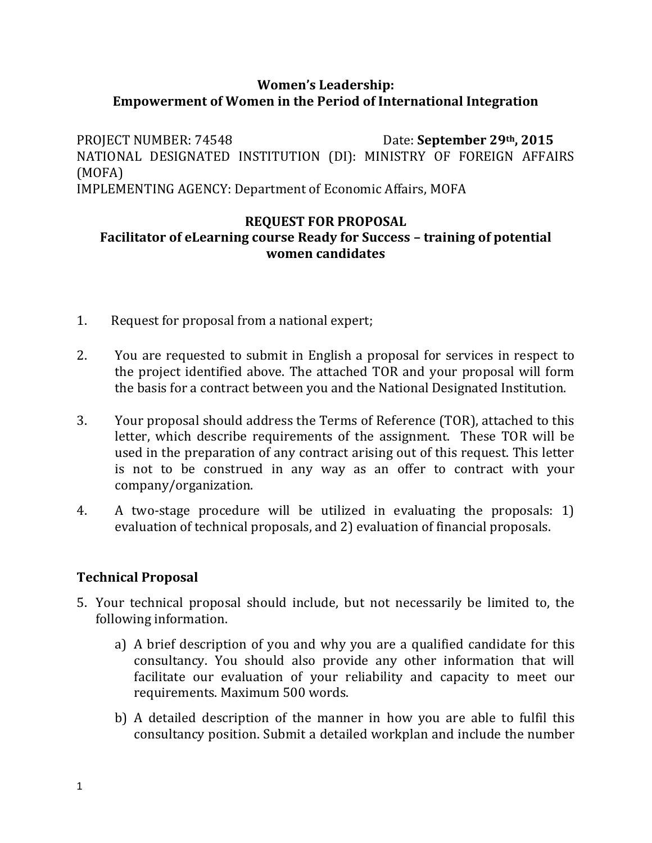# **Women's Leadership: Empowerment of Women in the Period of International Integration**

PROJECT NUMBER: 74548 Date: **September 29th, 2015** NATIONAL DESIGNATED INSTITUTION (DI): MINISTRY OF FOREIGN AFFAIRS (MOFA) IMPLEMENTING AGENCY: Department of Economic Affairs, MOFA

#### **REQUEST FOR PROPOSAL Facilitator of eLearning course Ready for Success – training of potential women candidates**

- 1. Request for proposal from a national expert;
- 2. You are requested to submit in English a proposal for services in respect to the project identified above. The attached TOR and your proposal will form the basis for a contract between you and the National Designated Institution.
- 3. Your proposal should address the Terms of Reference (TOR), attached to this letter, which describe requirements of the assignment. These TOR will be used in the preparation of any contract arising out of this request. This letter is not to be construed in any way as an offer to contract with your company/organization.
- 4. A two-stage procedure will be utilized in evaluating the proposals: 1) evaluation of technical proposals, and 2) evaluation of financial proposals.

# **Technical Proposal**

- 5. Your technical proposal should include, but not necessarily be limited to, the following information.
	- a) A brief description of you and why you are a qualified candidate for this consultancy. You should also provide any other information that will facilitate our evaluation of your reliability and capacity to meet our requirements. Maximum 500 words.
	- b) A detailed description of the manner in how you are able to fulfil this consultancy position. Submit a detailed workplan and include the number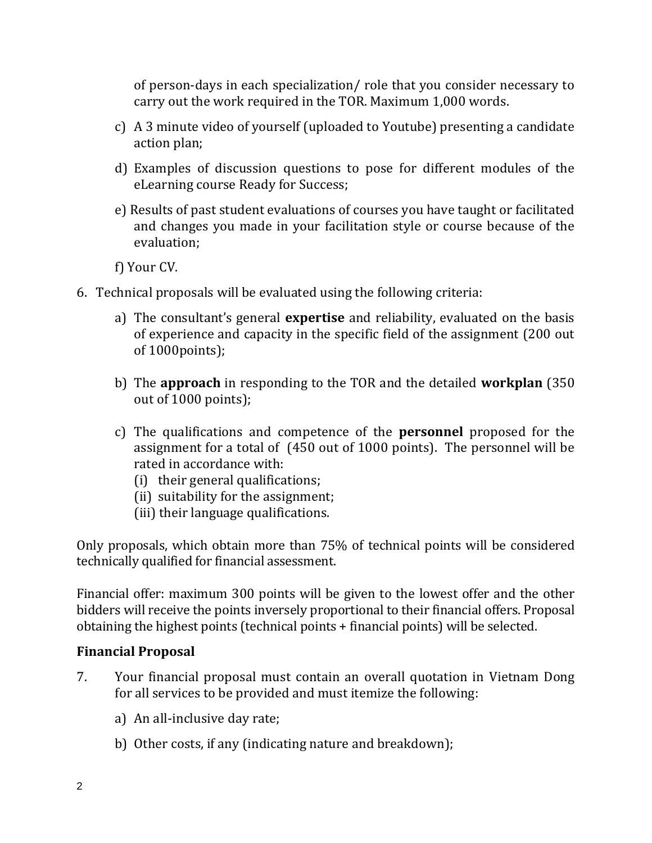of person-days in each specialization/ role that you consider necessary to carry out the work required in the TOR. Maximum 1,000 words.

- c) A 3 minute video of yourself (uploaded to Youtube) presenting a candidate action plan;
- d) Examples of discussion questions to pose for different modules of the eLearning course Ready for Success;
- e) Results of past student evaluations of courses you have taught or facilitated and changes you made in your facilitation style or course because of the evaluation;

f) Your CV.

- 6. Technical proposals will be evaluated using the following criteria:
	- a) The consultant's general **expertise** and reliability, evaluated on the basis of experience and capacity in the specific field of the assignment (200 out of 1000points);
	- b) The **approach** in responding to the TOR and the detailed **workplan** (350 out of 1000 points);
	- c) The qualifications and competence of the **personnel** proposed for the assignment for a total of (450 out of 1000 points). The personnel will be rated in accordance with:
		- (i) their general qualifications;
		- (ii) suitability for the assignment;
		- (iii) their language qualifications.

Only proposals, which obtain more than 75% of technical points will be considered technically qualified for financial assessment.

Financial offer: maximum 300 points will be given to the lowest offer and the other bidders will receive the points inversely proportional to their financial offers. Proposal obtaining the highest points (technical points + financial points) will be selected.

#### **Financial Proposal**

- 7. Your financial proposal must contain an overall quotation in Vietnam Dong for all services to be provided and must itemize the following:
	- a) An all-inclusive day rate;
	- b) Other costs, if any (indicating nature and breakdown);